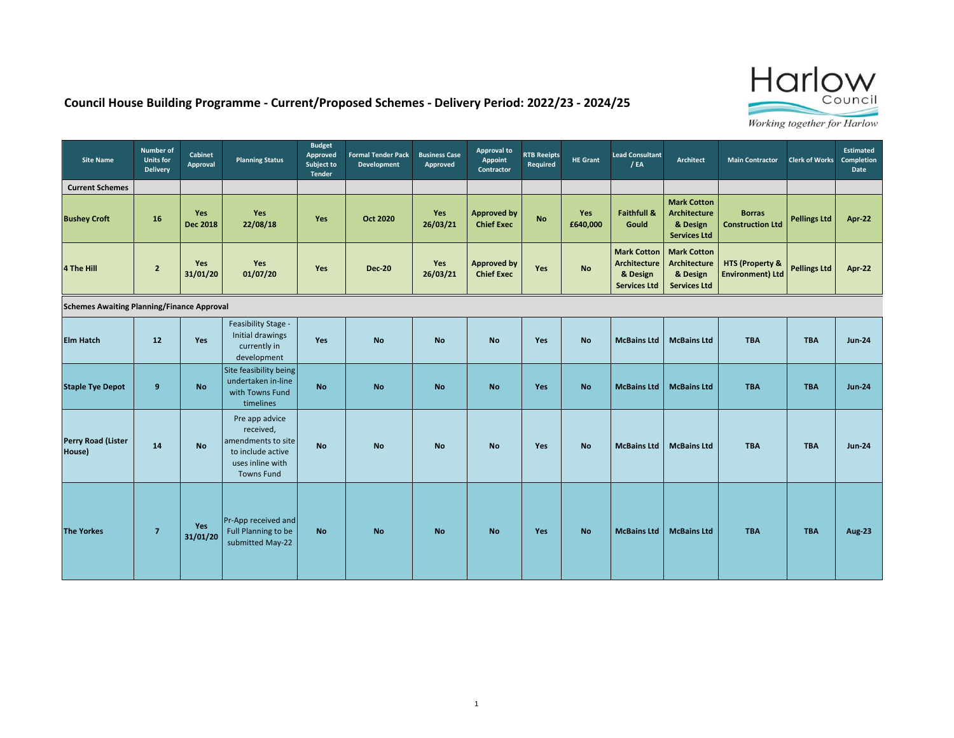

## **Council House Building Programme - Current/Proposed Schemes - Delivery Period: 2022/23 - 2024/25**

| <b>Site Name</b>                                  | <b>Number of</b><br><b>Units for</b><br><b>Delivery</b> | <b>Cabinet</b><br>Approval    | <b>Planning Status</b>                                                                                          | <b>Budget</b><br>Approved<br>Subject to<br><b>Tender</b> | <b>Formal Tender Pack</b><br>Development | <b>Business Case</b><br>Approved | Approval to<br>Appoint<br>Contractor    | <b>RTB Reeipts</b><br>Required | <b>HE Grant</b>        | <b>Lead Consultant</b><br>/EA                                                | <b>Architect</b>                                                             | <b>Main Contractor</b>                                | <b>Clerk of Works</b> | <b>Estimated</b><br><b>Completion</b><br>Date |
|---------------------------------------------------|---------------------------------------------------------|-------------------------------|-----------------------------------------------------------------------------------------------------------------|----------------------------------------------------------|------------------------------------------|----------------------------------|-----------------------------------------|--------------------------------|------------------------|------------------------------------------------------------------------------|------------------------------------------------------------------------------|-------------------------------------------------------|-----------------------|-----------------------------------------------|
| <b>Current Schemes</b>                            |                                                         |                               |                                                                                                                 |                                                          |                                          |                                  |                                         |                                |                        |                                                                              |                                                                              |                                                       |                       |                                               |
| <b>Bushey Croft</b>                               | 16                                                      | <b>Yes</b><br><b>Dec 2018</b> | <b>Yes</b><br>22/08/18                                                                                          | Yes                                                      | <b>Oct 2020</b>                          | Yes<br>26/03/21                  | <b>Approved by</b><br><b>Chief Exec</b> | <b>No</b>                      | <b>Yes</b><br>£640,000 | <b>Faithfull &amp;</b><br>Gould                                              | <b>Mark Cotton</b><br><b>Architecture</b><br>& Design<br><b>Services Ltd</b> | <b>Borras</b><br><b>Construction Ltd</b>              | <b>Pellings Ltd</b>   | Apr-22                                        |
| 4 The Hill                                        | $\overline{2}$                                          | <b>Yes</b><br>31/01/20        | <b>Yes</b><br>01/07/20                                                                                          | Yes                                                      | <b>Dec-20</b>                            | Yes<br>26/03/21                  | <b>Approved by</b><br><b>Chief Exec</b> | Yes                            | <b>No</b>              | <b>Mark Cotton</b><br><b>Architecture</b><br>& Design<br><b>Services Ltd</b> | <b>Mark Cotton</b><br><b>Architecture</b><br>& Design<br><b>Services Ltd</b> | <b>HTS (Property &amp;</b><br><b>Environment) Ltd</b> | <b>Pellings Ltd</b>   | Apr-22                                        |
| <b>Schemes Awaiting Planning/Finance Approval</b> |                                                         |                               |                                                                                                                 |                                                          |                                          |                                  |                                         |                                |                        |                                                                              |                                                                              |                                                       |                       |                                               |
| <b>Elm Hatch</b>                                  | 12                                                      | Yes                           | Feasibility Stage -<br>Initial drawings<br>currently in<br>development                                          | <b>Yes</b>                                               | <b>No</b>                                | <b>No</b>                        | <b>No</b>                               | Yes                            | <b>No</b>              | <b>McBains Ltd</b>                                                           | <b>McBains Ltd</b>                                                           | <b>TBA</b>                                            | <b>TBA</b>            | <b>Jun-24</b>                                 |
| <b>Staple Tye Depot</b>                           | 9                                                       | <b>No</b>                     | Site feasibility being<br>undertaken in-line<br>with Towns Fund<br>timelines                                    | <b>No</b>                                                | <b>No</b>                                | <b>No</b>                        | <b>No</b>                               | <b>Yes</b>                     | <b>No</b>              | <b>McBains Ltd</b>                                                           | <b>McBains Ltd</b>                                                           | <b>TBA</b>                                            | <b>TBA</b>            | <b>Jun-24</b>                                 |
| Perry Road (Lister<br>House)                      | 14                                                      | <b>No</b>                     | Pre app advice<br>received,<br>amendments to site<br>to include active<br>uses inline with<br><b>Towns Fund</b> | <b>No</b>                                                | <b>No</b>                                | <b>No</b>                        | <b>No</b>                               | Yes                            | <b>No</b>              | <b>McBains Ltd</b>                                                           | <b>McBains Ltd</b>                                                           | <b>TBA</b>                                            | <b>TBA</b>            | <b>Jun-24</b>                                 |
| <b>The Yorkes</b>                                 | $\overline{7}$                                          | Yes<br>31/01/20               | Pr-App received and<br>Full Planning to be<br>submitted May-22                                                  | <b>No</b>                                                | <b>No</b>                                | <b>No</b>                        | <b>No</b>                               | Yes                            | <b>No</b>              | <b>McBains Ltd</b>                                                           | <b>McBains Ltd</b>                                                           | <b>TBA</b>                                            | <b>TBA</b>            | <b>Aug-23</b>                                 |